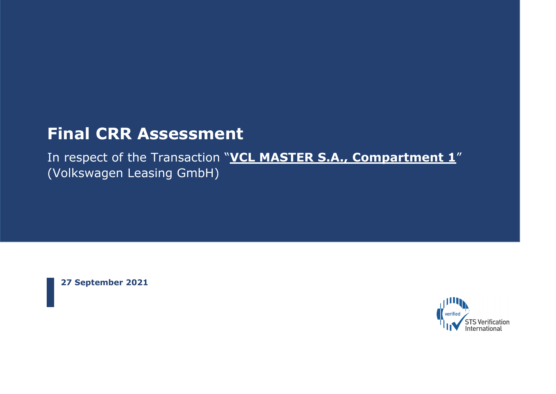# **Final CRR Assessment**

In respect of the Transaction "**VCL MASTER S.A., Compartment 1**" (Volkswagen Leasing GmbH)

**27 September 2021**

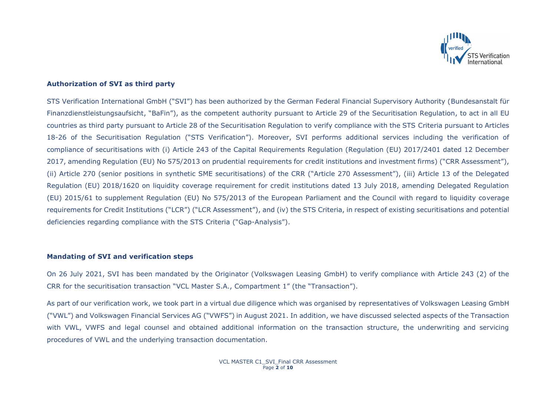

## **Authorization of SVI as third party**

STS Verification International GmbH ("SVI") has been authorized by the German Federal Financial Supervisory Authority (Bundesanstalt für Finanzdienstleistungsaufsicht, "BaFin"), as the competent authority pursuant to Article 29 of the Securitisation Regulation, to act in all EU countries as third party pursuant to Article 28 of the Securitisation Regulation to verify compliance with the STS Criteria pursuant to Articles 18-26 of the Securitisation Regulation ("STS Verification"). Moreover, SVI performs additional services including the verification of compliance of securitisations with (i) Article 243 of the Capital Requirements Regulation (Regulation (EU) 2017/2401 dated 12 December 2017, amending Regulation (EU) No 575/2013 on prudential requirements for credit institutions and investment firms) ("CRR Assessment"), (ii) Article 270 (senior positions in synthetic SME securitisations) of the CRR ("Article 270 Assessment"), (iii) Article 13 of the Delegated Regulation (EU) 2018/1620 on liquidity coverage requirement for credit institutions dated 13 July 2018, amending Delegated Regulation (EU) 2015/61 to supplement Regulation (EU) No 575/2013 of the European Parliament and the Council with regard to liquidity coverage requirements for Credit Institutions ("LCR") ("LCR Assessment"), and (iv) the STS Criteria, in respect of existing securitisations and potential deficiencies regarding compliance with the STS Criteria ("Gap-Analysis").

#### **Mandating of SVI and verification steps**

On 26 July 2021, SVI has been mandated by the Originator (Volkswagen Leasing GmbH) to verify compliance with Article 243 (2) of the CRR for the securitisation transaction "VCL Master S.A., Compartment 1" (the "Transaction").

As part of our verification work, we took part in a virtual due diligence which was organised by representatives of Volkswagen Leasing GmbH ("VWL") and Volkswagen Financial Services AG ("VWFS") in August 2021. In addition, we have discussed selected aspects of the Transaction with VWL, VWFS and legal counsel and obtained additional information on the transaction structure, the underwriting and servicing procedures of VWL and the underlying transaction documentation.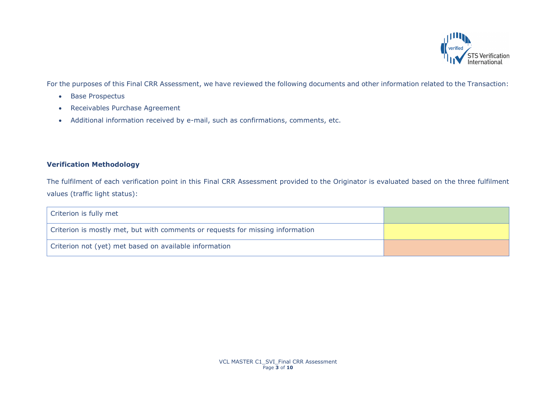

For the purposes of this Final CRR Assessment, we have reviewed the following documents and other information related to the Transaction:

- Base Prospectus
- Receivables Purchase Agreement
- Additional information received by e-mail, such as confirmations, comments, etc.

# **Verification Methodology**

The fulfilment of each verification point in this Final CRR Assessment provided to the Originator is evaluated based on the three fulfilment values (traffic light status):

| Criterion is fully met                                                         |  |
|--------------------------------------------------------------------------------|--|
| Criterion is mostly met, but with comments or requests for missing information |  |
| Criterion not (yet) met based on available information                         |  |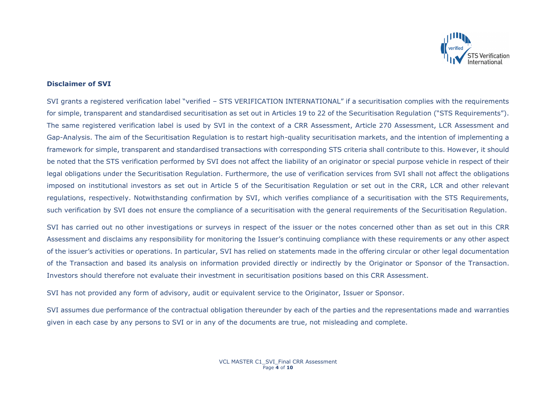

### **Disclaimer of SVI**

SVI grants a registered verification label "verified – STS VERIFICATION INTERNATIONAL" if a securitisation complies with the requirements for simple, transparent and standardised securitisation as set out in Articles 19 to 22 of the Securitisation Regulation ("STS Requirements"). The same registered verification label is used by SVI in the context of a CRR Assessment, Article 270 Assessment, LCR Assessment and Gap-Analysis. The aim of the Securitisation Regulation is to restart high-quality securitisation markets, and the intention of implementing a framework for simple, transparent and standardised transactions with corresponding STS criteria shall contribute to this. However, it should be noted that the STS verification performed by SVI does not affect the liability of an originator or special purpose vehicle in respect of their legal obligations under the Securitisation Regulation. Furthermore, the use of verification services from SVI shall not affect the obligations imposed on institutional investors as set out in Article 5 of the Securitisation Regulation or set out in the CRR, LCR and other relevant regulations, respectively. Notwithstanding confirmation by SVI, which verifies compliance of a securitisation with the STS Requirements, such verification by SVI does not ensure the compliance of a securitisation with the general requirements of the Securitisation Regulation.

SVI has carried out no other investigations or surveys in respect of the issuer or the notes concerned other than as set out in this CRR Assessment and disclaims any responsibility for monitoring the Issuer's continuing compliance with these requirements or any other aspect of the issuer's activities or operations. In particular, SVI has relied on statements made in the offering circular or other legal documentation of the Transaction and based its analysis on information provided directly or indirectly by the Originator or Sponsor of the Transaction. Investors should therefore not evaluate their investment in securitisation positions based on this CRR Assessment.

SVI has not provided any form of advisory, audit or equivalent service to the Originator, Issuer or Sponsor.

SVI assumes due performance of the contractual obligation thereunder by each of the parties and the representations made and warranties given in each case by any persons to SVI or in any of the documents are true, not misleading and complete.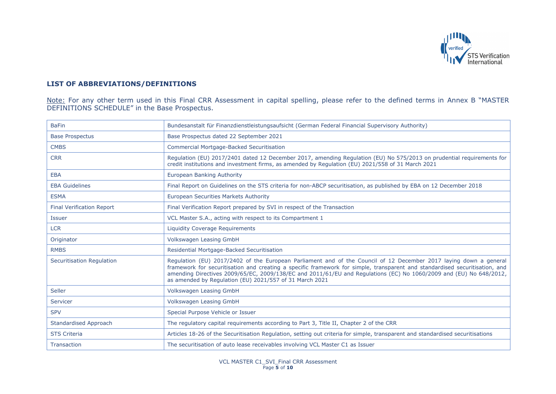

# **LIST OF ABBREVIATIONS/DEFINITIONS**

Note: For any other term used in this Final CRR Assessment in capital spelling, please refer to the defined terms in Annex B "MASTER DEFINITIONS SCHEDULE" in the Base Prospectus.

| <b>BaFin</b>                     | Bundesanstalt für Finanzdienstleistungsaufsicht (German Federal Financial Supervisory Authority)                                                                                                                                                                                                                                                                                                                                  |
|----------------------------------|-----------------------------------------------------------------------------------------------------------------------------------------------------------------------------------------------------------------------------------------------------------------------------------------------------------------------------------------------------------------------------------------------------------------------------------|
| <b>Base Prospectus</b>           | Base Prospectus dated 22 September 2021                                                                                                                                                                                                                                                                                                                                                                                           |
| <b>CMBS</b>                      | <b>Commercial Mortgage-Backed Securitisation</b>                                                                                                                                                                                                                                                                                                                                                                                  |
| <b>CRR</b>                       | Regulation (EU) 2017/2401 dated 12 December 2017, amending Regulation (EU) No 575/2013 on prudential requirements for<br>credit institutions and investment firms, as amended by Regulation (EU) 2021/558 of 31 March 2021                                                                                                                                                                                                        |
| <b>EBA</b>                       | European Banking Authority                                                                                                                                                                                                                                                                                                                                                                                                        |
| <b>EBA Guidelines</b>            | Final Report on Guidelines on the STS criteria for non-ABCP securitisation, as published by EBA on 12 December 2018                                                                                                                                                                                                                                                                                                               |
| <b>ESMA</b>                      | European Securities Markets Authority                                                                                                                                                                                                                                                                                                                                                                                             |
| <b>Final Verification Report</b> | Final Verification Report prepared by SVI in respect of the Transaction                                                                                                                                                                                                                                                                                                                                                           |
| <b>Issuer</b>                    | VCL Master S.A., acting with respect to its Compartment 1                                                                                                                                                                                                                                                                                                                                                                         |
| <b>LCR</b>                       | <b>Liquidity Coverage Requirements</b>                                                                                                                                                                                                                                                                                                                                                                                            |
| Originator                       | Volkswagen Leasing GmbH                                                                                                                                                                                                                                                                                                                                                                                                           |
| <b>RMBS</b>                      | Residential Mortgage-Backed Securitisation                                                                                                                                                                                                                                                                                                                                                                                        |
| Securitisation Regulation        | Regulation (EU) 2017/2402 of the European Parliament and of the Council of 12 December 2017 laying down a general<br>framework for securitisation and creating a specific framework for simple, transparent and standardised securitisation, and<br>amending Directives 2009/65/EC, 2009/138/EC and 2011/61/EU and Regulations (EC) No 1060/2009 and (EU) No 648/2012,<br>as amended by Regulation (EU) 2021/557 of 31 March 2021 |
| Seller                           | Volkswagen Leasing GmbH                                                                                                                                                                                                                                                                                                                                                                                                           |
| Servicer                         | Volkswagen Leasing GmbH                                                                                                                                                                                                                                                                                                                                                                                                           |
| <b>SPV</b>                       | Special Purpose Vehicle or Issuer                                                                                                                                                                                                                                                                                                                                                                                                 |
| Standardised Approach            | The regulatory capital requirements according to Part 3, Title II, Chapter 2 of the CRR                                                                                                                                                                                                                                                                                                                                           |
| <b>STS Criteria</b>              | Articles 18-26 of the Securitisation Regulation, setting out criteria for simple, transparent and standardised securitisations                                                                                                                                                                                                                                                                                                    |
| <b>Transaction</b>               | The securitisation of auto lease receivables involving VCL Master C1 as Issuer                                                                                                                                                                                                                                                                                                                                                    |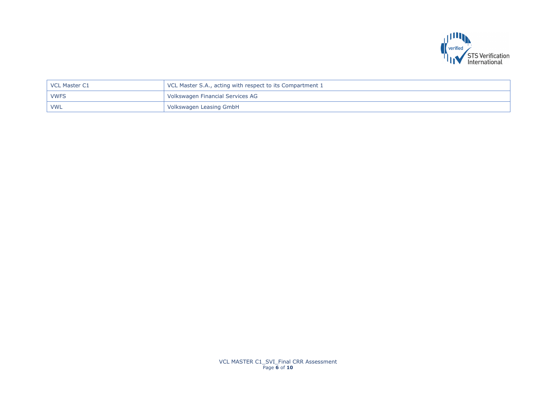

| VCL Master C1 | VCL Master S.A., acting with respect to its Compartment 1 |
|---------------|-----------------------------------------------------------|
| <b>VWFS</b>   | Volkswagen Financial Services AG                          |
| <b>VWL</b>    | Volkswagen Leasing GmbH                                   |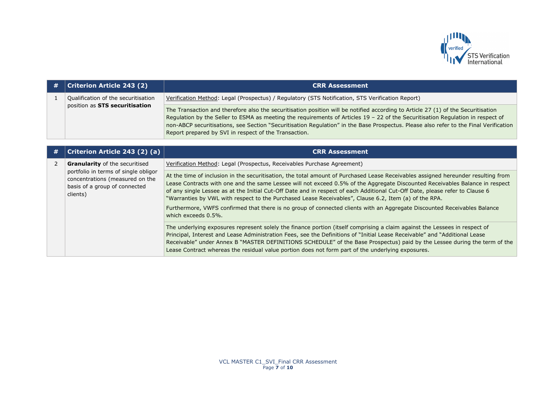

| # | <b>Criterion Article 243 (2)</b>                                      | <b>CRR Assessment</b>                                                                                                                                                                                                                                                                                                                                                                                                                                                  |
|---|-----------------------------------------------------------------------|------------------------------------------------------------------------------------------------------------------------------------------------------------------------------------------------------------------------------------------------------------------------------------------------------------------------------------------------------------------------------------------------------------------------------------------------------------------------|
|   | Qualification of the securitisation<br>position as STS securitisation | Verification Method: Legal (Prospectus) / Regulatory (STS Notification, STS Verification Report)                                                                                                                                                                                                                                                                                                                                                                       |
|   |                                                                       | The Transaction and therefore also the securitisation position will be notified according to Article 27 (1) of the Securitisation<br>Regulation by the Seller to ESMA as meeting the requirements of Articles 19 - 22 of the Securitisation Regulation in respect of<br>non-ABCP securitisations, see Section "Securitisation Regulation" in the Base Prospectus. Please also refer to the Final Verification<br>Report prepared by SVI in respect of the Transaction. |

| # | Criterion Article 243 (2) (a)                                                                                                                                 | <b>CRR Assessment</b>                                                                                                                                                                                                                                                                                                                                                                                                                                                                                                                                                                                                                                         |
|---|---------------------------------------------------------------------------------------------------------------------------------------------------------------|---------------------------------------------------------------------------------------------------------------------------------------------------------------------------------------------------------------------------------------------------------------------------------------------------------------------------------------------------------------------------------------------------------------------------------------------------------------------------------------------------------------------------------------------------------------------------------------------------------------------------------------------------------------|
|   | <b>Granularity</b> of the securitised<br>portfolio in terms of single obligor<br>concentrations (measured on the<br>basis of a group of connected<br>clients) | Verification Method: Legal (Prospectus, Receivables Purchase Agreement)                                                                                                                                                                                                                                                                                                                                                                                                                                                                                                                                                                                       |
|   |                                                                                                                                                               | At the time of inclusion in the securitisation, the total amount of Purchased Lease Receivables assigned hereunder resulting from<br>Lease Contracts with one and the same Lessee will not exceed 0.5% of the Aggregate Discounted Receivables Balance in respect<br>of any single Lessee as at the Initial Cut-Off Date and in respect of each Additional Cut-Off Date, please refer to Clause 6<br>"Warranties by VWL with respect to the Purchased Lease Receivables", Clause 6.2, Item (a) of the RPA.<br>Furthermore, VWFS confirmed that there is no group of connected clients with an Aggregate Discounted Receivables Balance<br>which exceeds 0.5%. |
|   |                                                                                                                                                               | The underlying exposures represent solely the finance portion (itself comprising a claim against the Lessees in respect of<br>Principal, Interest and Lease Administration Fees, see the Definitions of "Initial Lease Receivable" and "Additional Lease<br>Receivable" under Annex B "MASTER DEFINITIONS SCHEDULE" of the Base Prospectus) paid by the Lessee during the term of the<br>Lease Contract whereas the residual value portion does not form part of the underlying exposures.                                                                                                                                                                    |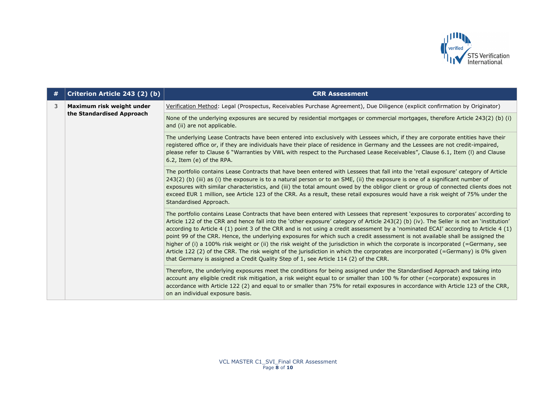

| # | Criterion Article 243 (2) (b)                          | <b>CRR Assessment</b>                                                                                                                                                                                                                                                                                                                                                                                                                                                                                                                                                                                                                                                                                                                                                                                                                                                                                                 |
|---|--------------------------------------------------------|-----------------------------------------------------------------------------------------------------------------------------------------------------------------------------------------------------------------------------------------------------------------------------------------------------------------------------------------------------------------------------------------------------------------------------------------------------------------------------------------------------------------------------------------------------------------------------------------------------------------------------------------------------------------------------------------------------------------------------------------------------------------------------------------------------------------------------------------------------------------------------------------------------------------------|
| 3 | Maximum risk weight under<br>the Standardised Approach | Verification Method: Legal (Prospectus, Receivables Purchase Agreement), Due Diligence (explicit confirmation by Originator)                                                                                                                                                                                                                                                                                                                                                                                                                                                                                                                                                                                                                                                                                                                                                                                          |
|   |                                                        | None of the underlying exposures are secured by residential mortgages or commercial mortgages, therefore Article 243(2) (b) (i)<br>and (ii) are not applicable.                                                                                                                                                                                                                                                                                                                                                                                                                                                                                                                                                                                                                                                                                                                                                       |
|   |                                                        | The underlying Lease Contracts have been entered into exclusively with Lessees which, if they are corporate entities have their<br>registered office or, if they are individuals have their place of residence in Germany and the Lessees are not credit-impaired,<br>please refer to Clause 6 "Warranties by VWL with respect to the Purchased Lease Receivables", Clause 6.1, Item (I) and Clause<br>6.2, Item (e) of the RPA.                                                                                                                                                                                                                                                                                                                                                                                                                                                                                      |
|   |                                                        | The portfolio contains Lease Contracts that have been entered with Lessees that fall into the 'retail exposure' category of Article<br>243(2) (b) (iii) as (i) the exposure is to a natural person or to an SME, (ii) the exposure is one of a significant number of<br>exposures with similar characteristics, and (iii) the total amount owed by the obligor client or group of connected clients does not<br>exceed EUR 1 million, see Article 123 of the CRR. As a result, these retail exposures would have a risk weight of 75% under the<br>Standardised Approach.                                                                                                                                                                                                                                                                                                                                             |
|   |                                                        | The portfolio contains Lease Contracts that have been entered with Lessees that represent 'exposures to corporates' according to<br>Article 122 of the CRR and hence fall into the 'other exposure' category of Article 243(2) (b) (iv). The Seller is not an 'institution'<br>according to Article 4 (1) point 3 of the CRR and is not using a credit assessment by a 'nominated ECAI' according to Article 4 (1)<br>point 99 of the CRR. Hence, the underlying exposures for which such a credit assessment is not available shall be assigned the<br>higher of (i) a 100% risk weight or (ii) the risk weight of the jurisdiction in which the corporate is incorporated (=Germany, see<br>Article 122 (2) of the CRR. The risk weight of the jurisdiction in which the corporates are incorporated (=Germany) is 0% given<br>that Germany is assigned a Credit Quality Step of 1, see Article 114 (2) of the CRR. |
|   |                                                        | Therefore, the underlying exposures meet the conditions for being assigned under the Standardised Approach and taking into<br>account any eligible credit risk mitigation, a risk weight equal to or smaller than 100 % for other (=corporate) exposures in<br>accordance with Article 122 (2) and equal to or smaller than 75% for retail exposures in accordance with Article 123 of the CRR,<br>on an individual exposure basis.                                                                                                                                                                                                                                                                                                                                                                                                                                                                                   |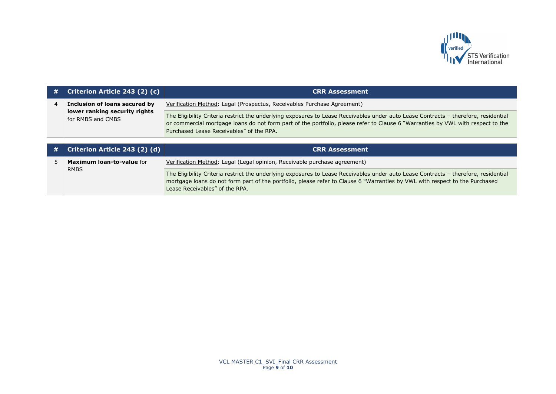

| $\#$ | <b>Criterion Article 243 (2) (c)</b>               | <b>CRR Assessment</b>                                                                                                                                                                                                                                                                                              |
|------|----------------------------------------------------|--------------------------------------------------------------------------------------------------------------------------------------------------------------------------------------------------------------------------------------------------------------------------------------------------------------------|
|      | Inclusion of loans secured by                      | Verification Method: Legal (Prospectus, Receivables Purchase Agreement)                                                                                                                                                                                                                                            |
|      | lower ranking security rights<br>for RMBS and CMBS | The Eligibility Criteria restrict the underlying exposures to Lease Receivables under auto Lease Contracts - therefore, residential<br>or commercial mortgage loans do not form part of the portfolio, please refer to Clause 6 "Warranties by VWL with respect to the<br>Purchased Lease Receivables" of the RPA. |

| # | $\mid$ Criterion Article 243 (2) (d) $\mid$ | <b>CRR Assessment</b>                                                                                                                                                                                                                                                                                |
|---|---------------------------------------------|------------------------------------------------------------------------------------------------------------------------------------------------------------------------------------------------------------------------------------------------------------------------------------------------------|
|   | <b>Maximum loan-to-value for</b>            | Verification Method: Legal (Legal opinion, Receivable purchase agreement)                                                                                                                                                                                                                            |
|   | <b>RMBS</b>                                 | The Eligibility Criteria restrict the underlying exposures to Lease Receivables under auto Lease Contracts - therefore, residential<br>mortgage loans do not form part of the portfolio, please refer to Clause 6 "Warranties by VWL with respect to the Purchased<br>Lease Receivables" of the RPA. |